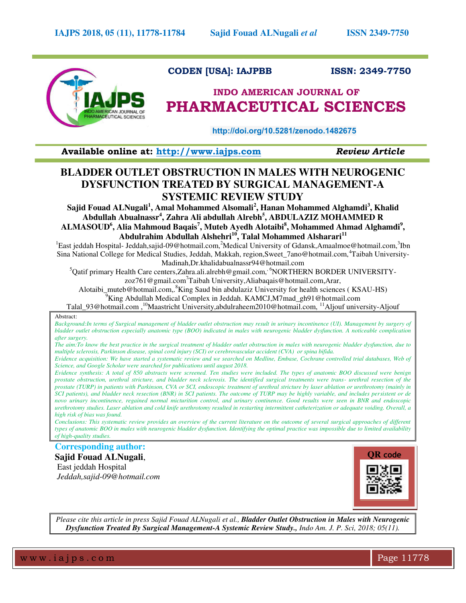

## **CODEN [USA]: IAJPBB ISSN: 2349-7750**

# **INDO AMERICAN JOURNAL OF PHARMACEUTICAL SCIENCES**

 **http://doi.org/10.5281/zenodo.1482675** 

**Available online at: [http://www.iajps.com](http://www.iajps.com/)** *Review Article*

# **BLADDER OUTLET OBSTRUCTION IN MALES WITH NEUROGENIC DYSFUNCTION TREATED BY SURGICAL MANAGEMENT-A SYSTEMIC REVIEW STUDY**

**Sajid Fouad ALNugali<sup>1</sup> , Amal Mohammed Alsomali<sup>2</sup> , Hanan Mohammed Alghamdi<sup>3</sup> , Khalid Abdullah Abualnassr<sup>4</sup> , Zahra Ali abdullah Alrebh<sup>5</sup> , ABDULAZIZ MOHAMMED R ALMASOUD<sup>6</sup> , Alia Mahmoud Baqais<sup>7</sup> , Muteb Ayedh Alotaibi<sup>8</sup> , Mohammed Ahmad Alghamdi<sup>9</sup> , Abdulrahim Abdullah Alshehri<sup>10</sup>, Talal Mohammed Alsharari<sup>11</sup>**

<sup>1</sup>East jeddah Hospital- Jeddah,sajid-09@hotmail.com,<sup>2</sup>Medical University of Gdansk,Amaalmoe@hotmail.com,<sup>3</sup>Ibn Sina National College for Medical Studies, Jeddah, Makkah, region,Sweet\_7ano@hotmail.com,<sup>4</sup>Taibah University-Madinah,Dr.khalidabualnassr94@hotmail.com

 $^5$ Qatif primary Health Care centers,Zahra.ali.alrebh@gmail.com,<sup>, 6</sup>NORTHERN BORDER UNIVERSITYzoz761@gmail.com<sup>7</sup>Taibah University,Aliabaqais@hotmail.com,Arar,

Alotaibi\_muteb@hotmail.com,.<sup>8</sup>King Saud bin abdulaziz University for health sciences (KSAU-HS)

<sup>9</sup>King Abdullah Medical Complex in Jeddah. KAMCJ,M7mad\_gh91@hotmail.com

Talal 93@hotmail.com,  $^{10}$ Maastricht University,abdulraheem2010@hotmail.com,  $^{11}$ Aljouf university-Aljouf

Abstract:

Background:In terms of Surgical management of bladder outlet obstruction may result in urinary incontinence (UI). Management by surgery of *bladder outlet obstruction especially anatomic type (BOO) indicated in males with neurogenic bladder dysfunction. A noticeable complication after surgery.* 

*The aim:To know the best practice in the surgical treatment of bladder outlet obstruction in males with neurogenic bladder dysfunction, due to multiple sclerosis, Parkinson disease, spinal cord injury (SCI) or cerebrovascular accident (CVA) or spina bifida.* 

*Evidence acquisition: We have started a systematic review and we searched on Medline, Embase, Cochrane controlled trial databases, Web of Science, and Google Scholar were searched for publications until august 2018.* 

*Evidence synthesis: A total of 850 abstracts were screened. Ten studies were included. The types of anatomic BOO discussed were benign prostate obstruction, urethral stricture, and bladder neck sclerosis. The identified surgical treatments were trans- urethral resection of the prostate (TURP) in patients with Parkinson, CVA or SCI, endoscopic treatment of urethral stricture by laser ablation or urethrotomy (mainly in SCI patients), and bladder neck resection (BNR) in SCI patients. The outcome of TURP may be highly variable, and includes persistent or de novo urinary incontinence, regained normal micturition control, and urinary continence. Good results were seen in BNR and endoscopic urethrotomy studies. Laser ablation and cold knife urethrotomy resulted in restarting intermittent catheterization or adequate voiding. Overall, a high risk of bias was found.* 

*Conclusions: This systematic review provides an overview of the current literature on the outcome of several surgical approaches of different types of anatomic BOO in males with neurogenic bladder dysfunction. Identifying the optimal practice was impossible due to limited availability of high-quality studies.* 

**Corresponding author: Sajid Fouad ALNugali**,

East jeddah Hospital  *Jeddah,sajid-09@hotmail.com*



*Please cite this article in press Sajid Fouad ALNugali et al., Bladder Outlet Obstruction in Males with Neurogenic Dysfunction Treated By Surgical Management-A Systemic Review Study., Indo Am. J. P. Sci, 2018; 05(11).*

www.iajps.com Page 11778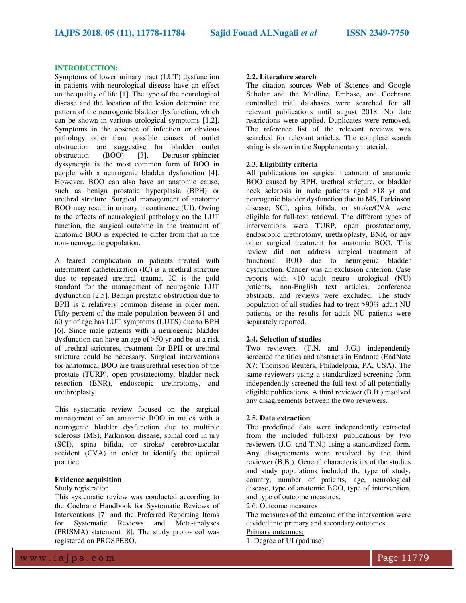#### **INTRODUCTION:**

Symptoms of lower urinary tract (LUT) dysfunction in patients with neurological disease have an effect on the quality of life [1]. The type of the neurological disease and the location of the lesion determine the pattern of the neurogenic bladder dysfunction, which can be shown in various urological symptoms [1,2]. Symptoms in the absence of infection or obvious pathology other than possible causes of outlet obstruction are suggestive for bladder outlet obstruction (BOO) [3]. Detrusor-sphincter dyssynergia is the most common form of BOO in people with a neurogenic bladder dysfunction [4]. However, BOO can also have an anatomic cause, such as benign prostatic hyperplasia (BPH) or urethral stricture. Surgical management of anatomic BOO may result in urinary incontinence (UI). Owing to the effects of neurological pathology on the LUT function, the surgical outcome in the treatment of anatomic BOO is expected to differ from that in the non- neurogenic population.

A feared complication in patients treated with intermittent catheterization (IC) is a urethral stricture due to repeated urethral trauma. IC is the gold standard for the management of neurogenic LUT dysfunction [2,5]. Benign prostatic obstruction due to BPH is a relatively common disease in older men. Fifty percent of the male population between 51 and 60 yr of age has LUT symptoms (LUTS) due to BPH [6]. Since male patients with a neurogenic bladder dysfunction can have an age of >50 yr and be at a risk of urethral strictures, treatment for BPH or urethral stricture could be necessary. Surgical interventions for anatomical BOO are transurethral resection of the prostate (TURP), open prostatectomy, bladder neck resection (BNR), endoscopic urethrotomy, and urethroplasty.

This systematic review focused on the surgical management of an anatomic BOO in males with a neurogenic bladder dysfunction due to multiple sclerosis (MS), Parkinson disease, spinal cord injury (SCI), spina bifida, or stroke/ cerebrovascular accident (CVA) in order to identify the optimal practice.

#### **Evidence acquisition**

#### Study registration

This systematic review was conducted according to the Cochrane Handbook for Systematic Reviews of Interventions [7] and the Preferred Reporting Items<br>for Systematic Reviews and Meta-analyses for Systematic Reviews and Meta-analyses (PRISMA) statement [8]. The study proto- col was registered on PROSPERO.

#### **2.2. Literature search**

The citation sources Web of Science and Google Scholar and the Medline, Embase, and Cochrane controlled trial databases were searched for all relevant publications until august 2018. No date restrictions were applied. Duplicates were removed. The reference list of the relevant reviews was searched for relevant articles. The complete search string is shown in the Supplementary material.

#### **2.3. Eligibility criteria**

All publications on surgical treatment of anatomic BOO caused by BPH, urethral stricture, or bladder neck sclerosis in male patients aged >18 yr and neurogenic bladder dysfunction due to MS, Parkinson disease, SCI, spina bifida, or stroke/CVA were eligible for full-text retrieval. The different types of interventions were TURP, open prostatectomy, endoscopic urethrotomy, urethroplasty, BNR, or any other surgical treatment for anatomic BOO. This review did not address surgical treatment of functional BOO due to neurogenic bladder dysfunction. Cancer was an exclusion criterion. Case reports with <10 adult neuro- urological (NU) patients, non-English text articles, conference abstracts, and reviews were excluded. The study population of all studies had to treat >90% adult NU patients, or the results for adult NU patients were separately reported.

#### **2.4. Selection of studies**

Two reviewers (T.N. and J.G.) independently screened the titles and abstracts in Endnote (EndNote X7; Thomson Reuters, Philadelphia, PA, USA). The same reviewers using a standardized screening form independently screened the full text of all potentially eligible publications. A third reviewer (B.B.) resolved any disagreements between the two reviewers.

#### **2.5. Data extraction**

The predefined data were independently extracted from the included full-text publications by two reviewers (J.G. and T.N.) using a standardized form. Any disagreements were resolved by the third reviewer (B.B.). General characteristics of the studies and study populations included the type of study, country, number of patients, age, neurological disease, type of anatomic BOO, type of intervention, and type of outcome measures.

2.6. Outcome measures

The measures of the outcome of the intervention were divided into primary and secondary outcomes.

### Primary outcomes:

1. Degree of UI (pad use)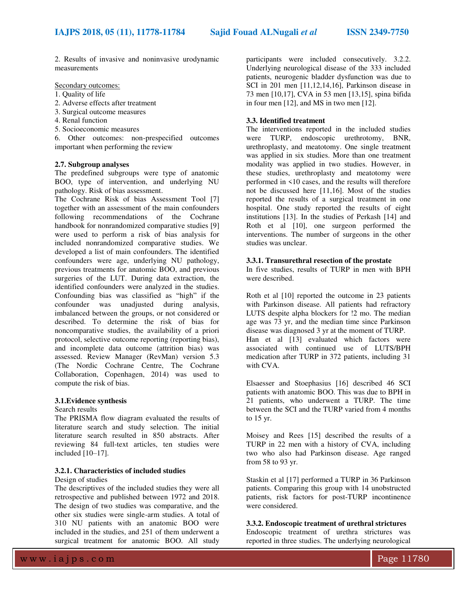2. Results of invasive and noninvasive urodynamic measurements

Secondary outcomes:

- 1. Quality of life
- 2. Adverse effects after treatment
- 3. Surgical outcome measures
- 4. Renal function
- 5. Socioeconomic measures

6. Other outcomes: non-prespecified outcomes important when performing the review

#### **2.7. Subgroup analyses**

The predefined subgroups were type of anatomic BOO, type of intervention, and underlying NU pathology. Risk of bias assessment.

The Cochrane Risk of bias Assessment Tool [7] together with an assessment of the main confounders following recommendations of the Cochrane handbook for nonrandomized comparative studies [9] were used to perform a risk of bias analysis for included nonrandomized comparative studies. We developed a list of main confounders. The identified confounders were age, underlying NU pathology, previous treatments for anatomic BOO, and previous surgeries of the LUT. During data extraction, the identified confounders were analyzed in the studies. Confounding bias was classified as "high" if the confounder was unadjusted during analysis, imbalanced between the groups, or not considered or described. To determine the risk of bias for noncomparative studies, the availability of a priori protocol, selective outcome reporting (reporting bias), and incomplete data outcome (attrition bias) was assessed. Review Manager (RevMan) version 5.3 (The Nordic Cochrane Centre, The Cochrane Collaboration, Copenhagen, 2014) was used to compute the risk of bias.

#### **3.1.Evidence synthesis**

Search results

The PRISMA flow diagram evaluated the results of literature search and study selection. The initial literature search resulted in 850 abstracts. After reviewing 84 full-text articles, ten studies were included [10–17].

#### **3.2.1. Characteristics of included studies**

Design of studies

The descriptives of the included studies they were all retrospective and published between 1972 and 2018. The design of two studies was comparative, and the other six studies were single-arm studies. A total of 310 NU patients with an anatomic BOO were included in the studies, and 251 of them underwent a surgical treatment for anatomic BOO. All study

participants were included consecutively. 3.2.2. Underlying neurological disease of the 333 included patients, neurogenic bladder dysfunction was due to SCI in 201 men [11,12,14,16], Parkinson disease in 73 men [10,17], CVA in 53 men [13,15], spina bifida in four men [12], and MS in two men [12].

#### **3.3. Identified treatment**

The interventions reported in the included studies were TURP, endoscopic urethrotomy, BNR, urethroplasty, and meatotomy. One single treatment was applied in six studies. More than one treatment modality was applied in two studies. However, in these studies, urethroplasty and meatotomy were performed in <10 cases, and the results will therefore not be discussed here [11,16]. Most of the studies reported the results of a surgical treatment in one hospital. One study reported the results of eight institutions [13]. In the studies of Perkash [14] and Roth et al [10], one surgeon performed the interventions. The number of surgeons in the other studies was unclear.

#### **3.3.1. Transurethral resection of the prostate**

In five studies, results of TURP in men with BPH were described.

Roth et al [10] reported the outcome in 23 patients with Parkinson disease. All patients had refractory LUTS despite alpha blockers for !2 mo. The median age was 73 yr, and the median time since Parkinson disease was diagnosed 3 yr at the moment of TURP. Han et al [13] evaluated which factors were associated with continued use of LUTS/BPH medication after TURP in 372 patients, including 31 with CVA.

Elsaesser and Stoephasius [16] described 46 SCI patients with anatomic BOO. This was due to BPH in 21 patients, who underwent a TURP. The time between the SCI and the TURP varied from 4 months to 15 yr.

Moisey and Rees [15] described the results of a TURP in 22 men with a history of CVA, including two who also had Parkinson disease. Age ranged from 58 to 93 yr.

Staskin et al [17] performed a TURP in 36 Parkinson patients. Comparing this group with 14 unobstructed patients, risk factors for post-TURP incontinence were considered.

**3.3.2. Endoscopic treatment of urethral strictures**  Endoscopic treatment of urethra strictures was reported in three studies. The underlying neurological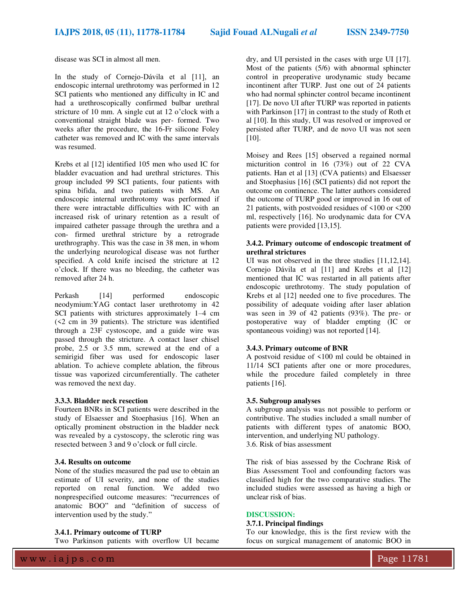disease was SCI in almost all men.

In the study of Cornejo-Dávila et al [11], an endoscopic internal urethrotomy was performed in 12 SCI patients who mentioned any difficulty in IC and had a urethroscopically confirmed bulbar urethral stricture of 10 mm. A single cut at 12 o'clock with a conventional straight blade was per- formed. Two weeks after the procedure, the 16-Fr silicone Foley catheter was removed and IC with the same intervals was resumed.

Krebs et al [12] identified 105 men who used IC for bladder evacuation and had urethral strictures. This group included 99 SCI patients, four patients with spina bifida, and two patients with MS. An endoscopic internal urethrotomy was performed if there were intractable difficulties with IC with an increased risk of urinary retention as a result of impaired catheter passage through the urethra and a con- firmed urethral stricture by a retrograde urethrography. This was the case in 38 men, in whom the underlying neurological disease was not further specified. A cold knife incised the stricture at 12 o'clock. If there was no bleeding, the catheter was removed after 24 h.

Perkash [14] performed endoscopic neodymium:YAG contact laser urethrotomy in 42 SCI patients with strictures approximately 1–4 cm (<2 cm in 39 patients). The stricture was identified through a 23F cystoscope, and a guide wire was passed through the stricture. A contact laser chisel probe, 2.5 or 3.5 mm, screwed at the end of a semirigid fiber was used for endoscopic laser ablation. To achieve complete ablation, the fibrous tissue was vaporized circumferentially. The catheter was removed the next day.

#### **3.3.3. Bladder neck resection**

Fourteen BNRs in SCI patients were described in the study of Elsaesser and Stoephasius [16]. When an optically prominent obstruction in the bladder neck was revealed by a cystoscopy, the sclerotic ring was resected between 3 and 9 o'clock or full circle.

#### **3.4. Results on outcome**

None of the studies measured the pad use to obtain an estimate of UI severity, and none of the studies reported on renal function. We added two nonprespecified outcome measures: "recurrences of anatomic BOO" and "definition of success of intervention used by the study."

#### **3.4.1. Primary outcome of TURP**

Two Parkinson patients with overflow UI became

dry, and UI persisted in the cases with urge UI [17]. Most of the patients (5/6) with abnormal sphincter control in preoperative urodynamic study became incontinent after TURP. Just one out of 24 patients who had normal sphincter control became incontinent [17]. De novo UI after TURP was reported in patients with Parkinson [17] in contrast to the study of Roth et al [10]. In this study, UI was resolved or improved or persisted after TURP, and de novo UI was not seen [10].

Moisey and Rees [15] observed a regained normal micturition control in 16 (73%) out of 22 CVA patients. Han et al [13] (CVA patients) and Elsaesser and Stoephasius [16] (SCI patients) did not report the outcome on continence. The latter authors considered the outcome of TURP good or improved in 16 out of 21 patients, with postvoided residues of <100 or <200 ml, respectively [16]. No urodynamic data for CVA patients were provided [13,15].

#### **3.4.2. Primary outcome of endoscopic treatment of urethral strictures**

UI was not observed in the three studies [11,12,14]. Cornejo Dávila et al [11] and Krebs et al [12] mentioned that IC was restarted in all patients after endoscopic urethrotomy. The study population of Krebs et al [12] needed one to five procedures. The possibility of adequate voiding after laser ablation was seen in 39 of 42 patients (93%). The pre- or postoperative way of bladder empting (IC or spontaneous voiding) was not reported [14].

#### **3.4.3. Primary outcome of BNR**

A postvoid residue of <100 ml could be obtained in 11/14 SCI patients after one or more procedures, while the procedure failed completely in three patients [16].

#### **3.5. Subgroup analyses**

A subgroup analysis was not possible to perform or contributive. The studies included a small number of patients with different types of anatomic BOO, intervention, and underlying NU pathology. 3.6. Risk of bias assessment

The risk of bias assessed by the Cochrane Risk of Bias Assessment Tool and confounding factors was classified high for the two comparative studies. The included studies were assessed as having a high or unclear risk of bias.

#### **DISCUSSION:**

#### **3.7.1. Principal findings**

To our knowledge, this is the first review with the focus on surgical management of anatomic BOO in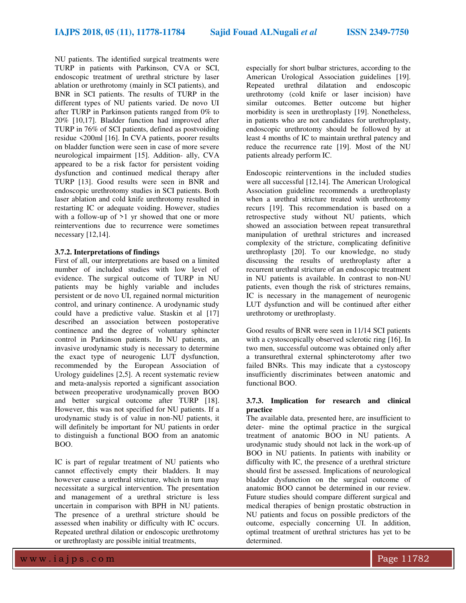NU patients. The identified surgical treatments were TURP in patients with Parkinson, CVA or SCI, endoscopic treatment of urethral stricture by laser ablation or urethrotomy (mainly in SCI patients), and BNR in SCI patients. The results of TURP in the different types of NU patients varied. De novo UI after TURP in Parkinson patients ranged from 0% to 20% [10,17]. Bladder function had improved after TURP in 76% of SCI patients, defined as postvoiding residue <200ml [16]. In CVA patients, poorer results on bladder function were seen in case of more severe neurological impairment [15]. Addition- ally, CVA appeared to be a risk factor for persistent voiding dysfunction and continued medical therapy after TURP [13]. Good results were seen in BNR and endoscopic urethrotomy studies in SCI patients. Both laser ablation and cold knife urethrotomy resulted in restarting IC or adequate voiding. However, studies with a follow-up of  $>1$  yr showed that one or more reinterventions due to recurrence were sometimes necessary [12,14].

#### **3.7.2. Interpretations of findings**

First of all, our interpretations are based on a limited number of included studies with low level of evidence. The surgical outcome of TURP in NU patients may be highly variable and includes persistent or de novo UI, regained normal micturition control, and urinary continence. A urodynamic study could have a predictive value. Staskin et al [17] described an association between postoperative continence and the degree of voluntary sphincter control in Parkinson patients. In NU patients, an invasive urodynamic study is necessary to determine the exact type of neurogenic LUT dysfunction, recommended by the European Association of Urology guidelines [2,5]. A recent systematic review and meta-analysis reported a significant association between preoperative urodynamically proven BOO and better surgical outcome after TURP [18]. However, this was not specified for NU patients. If a urodynamic study is of value in non-NU patients, it will definitely be important for NU patients in order to distinguish a functional BOO from an anatomic BOO.

IC is part of regular treatment of NU patients who cannot effectively empty their bladders. It may however cause a urethral stricture, which in turn may necessitate a surgical intervention. The presentation and management of a urethral stricture is less uncertain in comparison with BPH in NU patients. The presence of a urethral stricture should be assessed when inability or difficulty with IC occurs. Repeated urethral dilation or endoscopic urethrotomy or urethroplasty are possible initial treatments,

especially for short bulbar strictures, according to the American Urological Association guidelines [19]. Repeated urethral dilatation and endoscopic urethrotomy (cold knife or laser incision) have similar outcomes. Better outcome but higher morbidity is seen in urethroplasty [19]. Nonetheless, in patients who are not candidates for urethroplasty, endoscopic urethrotomy should be followed by at least 4 months of IC to maintain urethral patency and reduce the recurrence rate [19]. Most of the NU patients already perform IC.

Endoscopic reinterventions in the included studies were all successful [12,14]. The American Urological Association guideline recommends a urethroplasty when a urethral stricture treated with urethrotomy recurs [19]. This recommendation is based on a retrospective study without NU patients, which showed an association between repeat transurethral manipulation of urethral strictures and increased complexity of the stricture, complicating definitive urethroplasty [20]. To our knowledge, no study discussing the results of urethroplasty after a recurrent urethral stricture of an endoscopic treatment in NU patients is available. In contrast to non-NU patients, even though the risk of strictures remains, IC is necessary in the management of neurogenic LUT dysfunction and will be continued after either urethrotomy or urethroplasty.

Good results of BNR were seen in 11/14 SCI patients with a cystoscopically observed sclerotic ring [16]. In two men, successful outcome was obtained only after a transurethral external sphincterotomy after two failed BNRs. This may indicate that a cystoscopy insufficiently discriminates between anatomic and functional BOO.

#### **3.7.3. Implication for research and clinical practice**

The available data, presented here, are insufficient to deter- mine the optimal practice in the surgical treatment of anatomic BOO in NU patients. A urodynamic study should not lack in the work-up of BOO in NU patients. In patients with inability or difficulty with IC, the presence of a urethral stricture should first be assessed. Implications of neurological bladder dysfunction on the surgical outcome of anatomic BOO cannot be determined in our review. Future studies should compare different surgical and medical therapies of benign prostatic obstruction in NU patients and focus on possible predictors of the outcome, especially concerning UI. In addition, optimal treatment of urethral strictures has yet to be determined.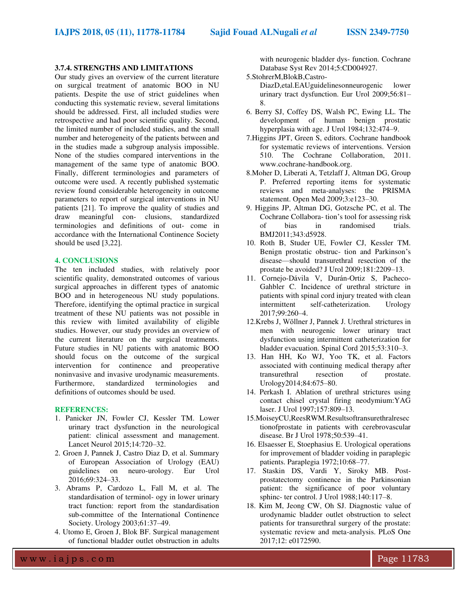#### **3.7.4. STRENGTHS AND LIMITATIONS**

Our study gives an overview of the current literature on surgical treatment of anatomic BOO in NU patients. Despite the use of strict guidelines when conducting this systematic review, several limitations should be addressed. First, all included studies were retrospective and had poor scientific quality. Second, the limited number of included studies, and the small number and heterogeneity of the patients between and in the studies made a subgroup analysis impossible. None of the studies compared interventions in the management of the same type of anatomic BOO. Finally, different terminologies and parameters of outcome were used. A recently published systematic review found considerable heterogeneity in outcome parameters to report of surgical interventions in NU patients [21]. To improve the quality of studies and draw meaningful con- clusions, standardized terminologies and definitions of out- come in accordance with the International Continence Society should be used [3,22].

#### **4. CONCLUSIONS**

The ten included studies, with relatively poor scientific quality, demonstrated outcomes of various surgical approaches in different types of anatomic BOO and in heterogeneous NU study populations. Therefore, identifying the optimal practice in surgical treatment of these NU patients was not possible in this review with limited availability of eligible studies. However, our study provides an overview of the current literature on the surgical treatments. Future studies in NU patients with anatomic BOO should focus on the outcome of the surgical intervention for continence and preoperative noninvasive and invasive urodynamic measurements. Furthermore, standardized terminologies and definitions of outcomes should be used.

#### **REFERENCES:**

- 1. Panicker JN, Fowler CJ, Kessler TM. Lower urinary tract dysfunction in the neurological patient: clinical assessment and management. Lancet Neurol 2015;14:720–32.
- 2. Groen J, Pannek J, Castro Diaz D, et al. Summary of European Association of Urology (EAU) guidelines on neuro-urology. Eur Urol 2016;69:324–33.
- 3. Abrams P, Cardozo L, Fall M, et al. The standardisation of terminol- ogy in lower urinary tract function: report from the standardisation sub-committee of the International Continence Society. Urology 2003;61:37–49.
- 4. Utomo E, Groen J, Blok BF. Surgical management of functional bladder outlet obstruction in adults

with neurogenic bladder dys- function. Cochrane Database Syst Rev 2014;5:CD004927.

5.StohrerM,BlokB,Castro-

DiazD,etal.EAUguidelinesonneurogenic lower urinary tract dysfunction. Eur Urol 2009;56:81– 8.

- 6. Berry SJ, Coffey DS, Walsh PC, Ewing LL. The development of human benign prostatic hyperplasia with age. J Urol 1984;132:474–9.
- 7.Higgins JPT, Green S, editors. Cochrane handbook for systematic reviews of interventions. Version 510. The Cochrane Collaboration, 2011. www.cochrane-handbook.org.
- 8.Moher D, Liberati A, Tetzlaff J, Altman DG, Group P. Preferred reporting items for systematic reviews and meta-analyses: the PRISMA statement. Open Med 2009;3:e123–30.
- 9. Higgins JP, Altman DG, Gotzsche PC, et al. The Cochrane Collabora- tion's tool for assessing risk<br>of bias in randomised trials. of bias in randomised BMJ2011;343:d5928.
- 10. Roth B, Studer UE, Fowler CJ, Kessler TM. Benign prostatic obstruc- tion and Parkinson's disease—should transurethral resection of the prostate be avoided? J Urol 2009;181:2209–13.
- 11. Cornejo-Dávila V, Durán-Ortiz S, Pacheco-Gahbler C. Incidence of urethral stricture in patients with spinal cord injury treated with clean intermittent self-catheterization. Urology 2017;99:260–4.
- 12.Krebs J, Wöllner J, Pannek J. Urethral strictures in men with neurogenic lower urinary tract dysfunction using intermittent catheterization for bladder evacuation. Spinal Cord 2015;53:310–3.
- 13. Han HH, Ko WJ, Yoo TK, et al. Factors associated with continuing medical therapy after transurethral resection of prostate. Urology2014;84:675–80.
- 14. Perkash I. Ablation of urethral strictures using contact chisel crystal firing neodymium:YAG laser. J Urol 1997;157:809–13.
- 15.MoiseyCU,ReesRWM.Resultsoftransurethralresec tionofprostate in patients with cerebrovascular disease. Br J Urol 1978;50:539–41.
- 16. Elsaesser E, Stoephasius E. Urological operations for improvement of bladder voiding in paraplegic patients. Paraplegia 1972;10:68–77.
- 17. Staskin DS, Vardi Y, Siroky MB. Postprostatectomy continence in the Parkinsonian patient: the significance of poor voluntary sphinc- ter control. J Urol 1988;140:117–8.
- 18. Kim M, Jeong CW, Oh SJ. Diagnostic value of urodynamic bladder outlet obstruction to select patients for transurethral surgery of the prostate: systematic review and meta-analysis. PLoS One 2017;12: e0172590.